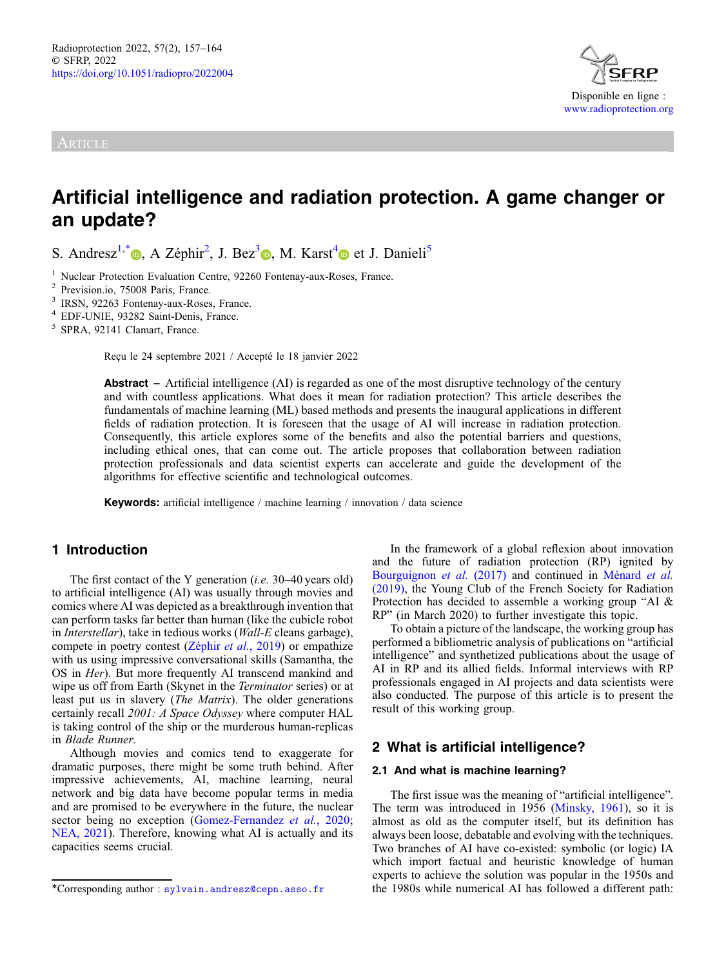# **ARTICLE**



# Artificial intelligence and radiation protection. A game changer or an update?

S. Andresz<sup>1,[\\*](https://orcid.org/0000-0003-0727-500X)</sup> (**b**[,](https://orcid.org/0000-0002-3686-4447) A Zéphir<sup>2</sup>, J. Bez<sup>3</sup> (**b**), M. Karst<sup>4</sup> et J. Danieli<sup>5</sup>

1 Nuclear Protection Evaluation Centre, 92260 Fontenay-aux-Roses, France.<br>
2 Prevision.io, 75008 Paris, France.<br>
3 IRSN, 92263 Fontenay-aux-Roses, France.<br>
4 EDF-UNIE, 93282 Saint-Denis, France.<br>
5 SPRA, 92141 Clamart, Fra

Reçu le 24 septembre 2021 / Accepté le 18 janvier 2022

**Abstract** – Artificial intelligence (AI) is regarded as one of the most disruptive technology of the century and with countless applications. What does it mean for radiation protection? This article describes the fundamentals of machine learning (ML) based methods and presents the inaugural applications in different fields of radiation protection. It is foreseen that the usage of AI will increase in radiation protection. Consequently, this article explores some of the benefits and also the potential barriers and questions, including ethical ones, that can come out. The article proposes that collaboration between radiation protection professionals and data scientist experts can accelerate and guide the development of the algorithms for effective scientific and technological outcomes.

Keywords: artificial intelligence / machine learning / innovation / data science

# 1 Introduction

The first contact of the Y generation *(i.e.* 30–40 years old) to artificial intelligence (AI) was usually through movies and comics where AI was depicted as a breakthrough invention that can perform tasks far better than human (like the cubicle robot in Interstellar), take in tedious works (Wall-E cleans garbage), compete in poetry contest [\(Zéphir](#page-7-0) et al., 2019) or empathize with us using impressive conversational skills (Samantha, the OS in Her). But more frequently AI transcend mankind and wipe us off from Earth (Skynet in the Terminator series) or at least put us in slavery (The Matrix). The older generations certainly recall 2001: A Space Odyssey where computer HAL is taking control of the ship or the murderous human-replicas in Blade Runner.

Although movies and comics tend to exaggerate for dramatic purposes, there might be some truth behind. After impressive achievements, AI, machine learning, neural network and big data have become popular terms in media and are promised to be everywhere in the future, the nuclear sector being no exception [\(Gomez-Fernandez](#page-6-0) et al., 2020; [NEA, 2021\)](#page-6-0). Therefore, knowing what AI is actually and its capacities seems crucial.

In the framework of a global reflexion about innovation and the future of radiation protection (RP) ignited by [Bourguignon](#page-5-0) et al. (2017) and continued in [Ménard](#page-6-0) et al. [\(2019\),](#page-6-0) the Young Club of the French Society for Radiation Protection has decided to assemble a working group "AI & RP" (in March 2020) to further investigate this topic.

To obtain a picture of the landscape, the working group has performed a bibliometric analysis of publications on "artificial intelligence" and synthetized publications about the usage of AI in RP and its allied fields. Informal interviews with RP professionals engaged in AI projects and data scientists were also conducted. The purpose of this article is to present the result of this working group.

## 2 What is artificial intelligence?

#### 2.1 And what is machine learning?

The first issue was the meaning of "artificial intelligence". The term was introduced in 1956 ([Minsky, 1961](#page-6-0)), so it is almost as old as the computer itself, but its definition has always been loose, debatable and evolving with the techniques. Two branches of AI have co-existed: symbolic (or logic) IA which import factual and heuristic knowledge of human experts to achieve the solution was popular in the 1950s and \*Corresponding author : [sylvain.andresz@cepn.asso.fr](mailto:sylvain.andresz@cepn.asso.fr) the 1980s while numerical AI has followed a different path: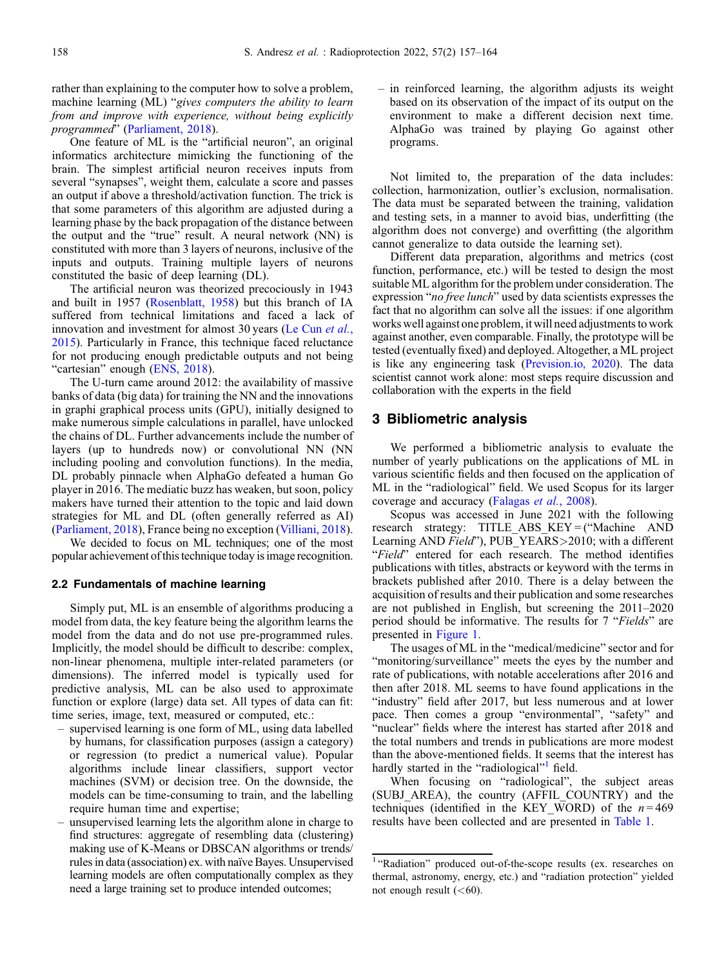rather than explaining to the computer how to solve a problem, machine learning (ML) "gives computers the ability to learn from and improve with experience, without being explicitly programmed" ([Parliament, 2018\)](#page-6-0).

One feature of ML is the "artificial neuron", an original informatics architecture mimicking the functioning of the brain. The simplest artificial neuron receives inputs from several "synapses", weight them, calculate a score and passes an output if above a threshold/activation function. The trick is that some parameters of this algorithm are adjusted during a learning phase by the back propagation of the distance between the output and the "true" result. A neural network (NN) is constituted with more than 3 layers of neurons, inclusive of the inputs and outputs. Training multiple layers of neurons constituted the basic of deep learning (DL).

The artificial neuron was theorized precociously in 1943 and built in 1957 [\(Rosenblatt, 1958](#page-7-0)) but this branch of IA suffered from technical limitations and faced a lack of innovation and investment for almost 30 years [\(Le Cun](#page-6-0) et al., [2015](#page-6-0)). Particularly in France, this technique faced reluctance for not producing enough predictable outputs and not being "cartesian" enough [\(ENS, 2018\)](#page-5-0).

The U-turn came around 2012: the availability of massive banks of data (big data) for training the NN and the innovations in graphi graphical process units (GPU), initially designed to make numerous simple calculations in parallel, have unlocked the chains of DL. Further advancements include the number of layers (up to hundreds now) or convolutional NN (NN including pooling and convolution functions). In the media, DL probably pinnacle when AlphaGo defeated a human Go player in 2016. The mediatic buzz has weaken, but soon, policy makers have turned their attention to the topic and laid down strategies for ML and DL (often generally referred as AI) ([Parliament, 2018](#page-6-0)), France being no exception ([Villiani, 2018](#page-7-0)).

We decided to focus on ML techniques; one of the most popular achievement of this technique today is image recognition.

#### 2.2 Fundamentals of machine learning

Simply put, ML is an ensemble of algorithms producing a model from data, the key feature being the algorithm learns the model from the data and do not use pre-programmed rules. Implicitly, the model should be difficult to describe: complex, non-linear phenomena, multiple inter-related parameters (or dimensions). The inferred model is typically used for predictive analysis, ML can be also used to approximate function or explore (large) data set. All types of data can fit: time series, image, text, measured or computed, etc.:

- supervised learning is one form of ML, using data labelled by humans, for classification purposes (assign a category) or regression (to predict a numerical value). Popular algorithms include linear classifiers, support vector machines (SVM) or decision tree. On the downside, the models can be time-consuming to train, and the labelling require human time and expertise;
- unsupervised learning lets the algorithm alone in charge to find structures: aggregate of resembling data (clustering) making use of K-Means or DBSCAN algorithms or trends/ rules in data (association) ex. with naïve Bayes. Unsupervised learning models are often computationally complex as they need a large training set to produce intended outcomes;

– in reinforced learning, the algorithm adjusts its weight based on its observation of the impact of its output on the environment to make a different decision next time. AlphaGo was trained by playing Go against other programs.

Not limited to, the preparation of the data includes: collection, harmonization, outlier's exclusion, normalisation. The data must be separated between the training, validation and testing sets, in a manner to avoid bias, underfitting (the algorithm does not converge) and overfitting (the algorithm cannot generalize to data outside the learning set).

Different data preparation, algorithms and metrics (cost function, performance, etc.) will be tested to design the most suitable ML algorithm for the problem under consideration. The expression "no free lunch" used by data scientists expresses the fact that no algorithm can solve all the issues: if one algorithm works well against one problem, it will need adjustments to work against another, even comparable. Finally, the prototype will be tested (eventually fixed) and deployed. Altogether, a ML project is like any engineering task [\(Prevision.io, 2020](#page-6-0)). The data scientist cannot work alone: most steps require discussion and collaboration with the experts in the field

# 3 Bibliometric analysis

We performed a bibliometric analysis to evaluate the number of yearly publications on the applications of ML in various scientific fields and then focused on the application of ML in the "radiological" field. We used Scopus for its larger coverage and accuracy [\(Falagas](#page-6-0) et al., 2008).

Scopus was accessed in June 2021 with the following research strategy: TITLE\_ABS\_KEY = ("Machine AND Learning AND Field"), PUB\_YEARS>2010; with a different "Field" entered for each research. The method identifies publications with titles, abstracts or keyword with the terms in brackets published after 2010. There is a delay between the acquisition of results and their publication and some researches are not published in English, but screening the 2011–2020 period should be informative. The results for 7 "Fields" are presented in [Figure 1](#page-2-0).

The usages of ML in the "medical/medicine" sector and for "monitoring/surveillance" meets the eyes by the number and rate of publications, with notable accelerations after 2016 and then after 2018. ML seems to have found applications in the "industry" field after 2017, but less numerous and at lower pace. Then comes a group "environmental", "safety" and "nuclear" fields where the interest has started after 2018 and the total numbers and trends in publications are more modest than the above-mentioned fields. It seems that the interest has hardly started in the "radiological"<sup>1</sup> field.

When focusing on "radiological", the subject areas (SUBJ\_AREA), the country (AFFIL\_COUNTRY) and the techniques (identified in the KEY WORD) of the  $n = 469$ results have been collected and are presented in [Table 1](#page-2-0).

<sup>1</sup> "Radiation" produced out-of-the-scope results (ex. researches on thermal, astronomy, energy, etc.) and "radiation protection" yielded not enough result  $( $60$ ).$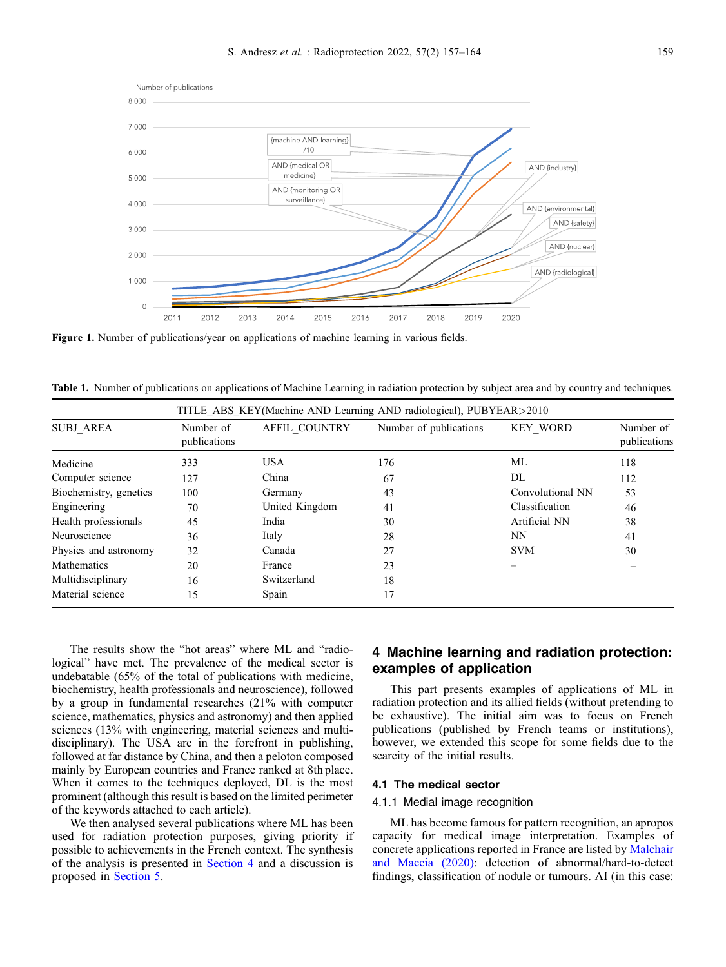<span id="page-2-0"></span>

Figure 1. Number of publications/year on applications of machine learning in various fields.

Table 1. Number of publications on applications of Machine Learning in radiation protection by subject area and by country and techniques.

|                        | TITLE ABS KEY(Machine AND Learning AND radiological), PUBYEAR>2010 |                |                        |                  |                           |
|------------------------|--------------------------------------------------------------------|----------------|------------------------|------------------|---------------------------|
| <b>SUBJ AREA</b>       | Number of<br>publications                                          | AFFIL COUNTRY  | Number of publications | <b>KEY WORD</b>  | Number of<br>publications |
| Medicine               | 333                                                                | <b>USA</b>     | 176                    | ML               | 118                       |
| Computer science       | 127                                                                | China          | 67                     | DL               | 112                       |
| Biochemistry, genetics | 100                                                                | Germany        | 43                     | Convolutional NN | 53                        |
| Engineering            | 70                                                                 | United Kingdom | 41                     | Classification   | 46                        |
| Health professionals   | 45                                                                 | India          | 30                     | Artificial NN    | 38                        |
| Neuroscience           | 36                                                                 | Italy          | 28                     | <b>NN</b>        | 41                        |
| Physics and astronomy  | 32                                                                 | Canada         | 27                     | <b>SVM</b>       | 30                        |
| Mathematics            | 20                                                                 | France         | 23                     |                  |                           |
| Multidisciplinary      | 16                                                                 | Switzerland    | 18                     |                  |                           |
| Material science       | 15                                                                 | Spain          | 17                     |                  |                           |

The results show the "hot areas" where ML and "radiological" have met. The prevalence of the medical sector is undebatable (65% of the total of publications with medicine, biochemistry, health professionals and neuroscience), followed by a group in fundamental researches (21% with computer science, mathematics, physics and astronomy) and then applied sciences (13% with engineering, material sciences and multidisciplinary). The USA are in the forefront in publishing, followed at far distance by China, and then a peloton composed mainly by European countries and France ranked at 8th place. When it comes to the techniques deployed, DL is the most prominent (although this result is based on the limited perimeter of the keywords attached to each article).

We then analysed several publications where ML has been used for radiation protection purposes, giving priority if possible to achievements in the French context. The synthesis of the analysis is presented in Section 4 and a discussion is proposed in [Section 5.](#page-4-0)

# 4 Machine learning and radiation protection: examples of application

This part presents examples of applications of ML in radiation protection and its allied fields (without pretending to be exhaustive). The initial aim was to focus on French publications (published by French teams or institutions), however, we extended this scope for some fields due to the scarcity of the initial results.

#### 4.1 The medical sector

#### 4.1.1 Medial image recognition

ML has become famous for pattern recognition, an apropos capacity for medical image interpretation. Examples of concrete applications reported in France are listed by [Malchair](#page-6-0) [and Maccia \(2020\):](#page-6-0) detection of abnormal/hard-to-detect findings, classification of nodule or tumours. AI (in this case: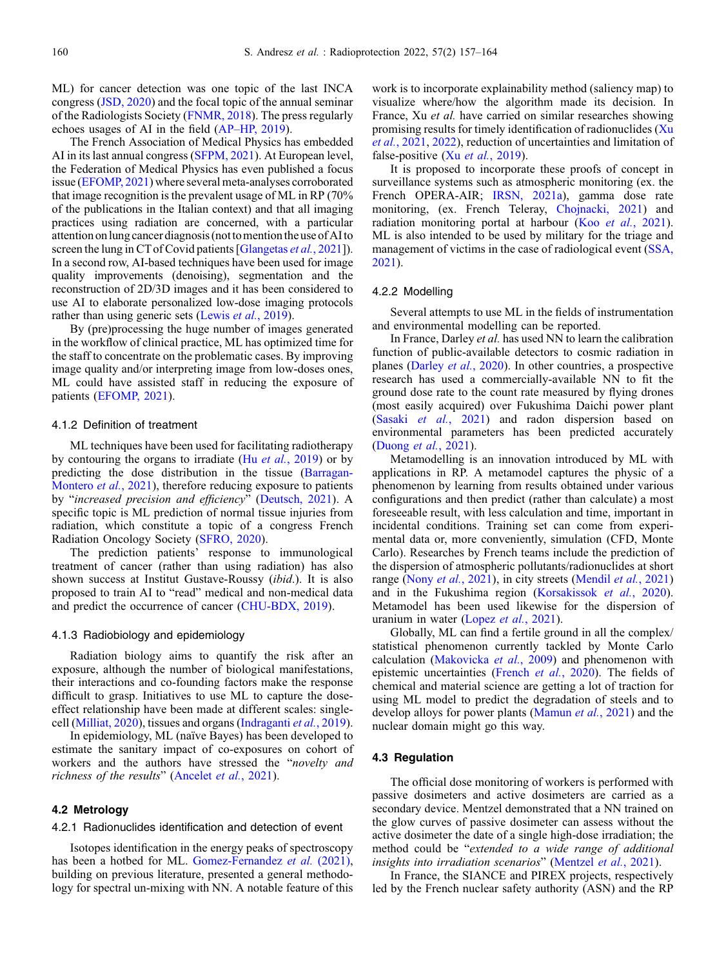ML) for cancer detection was one topic of the last INCA congress ([JSD, 2020](#page-6-0)) and the focal topic of the annual seminar of the Radiologists Society ([FNMR, 2018](#page-6-0)). The press regularly echoes usages of AI in the field (AP–[HP, 2019](#page-5-0)).

The French Association of Medical Physics has embedded AI in its last annual congress ([SFPM, 2021\)](#page-7-0). At European level, the Federation of Medical Physics has even published a focus issue [\(EFOMP, 2021\)](#page-5-0) where several meta-analyses corroborated that image recognition is the prevalent usage of ML in RP (70% of the publications in the Italian context) and that all imaging practices using radiation are concerned, with a particular attention onlung cancer diagnosis (nottomentionthe use of AIto screen the lung in CT of Covid patients [[Glangetas](#page-6-0) et al., 2021]). In a second row, AI-based techniques have been used for image quality improvements (denoising), segmentation and the reconstruction of 2D/3D images and it has been considered to use AI to elaborate personalized low-dose imaging protocols rather than using generic sets (Lewis et al.[, 2019](#page-6-0)).

By (pre)processing the huge number of images generated in the workflow of clinical practice, ML has optimized time for the staff to concentrate on the problematic cases. By improving image quality and/or interpreting image from low-doses ones, ML could have assisted staff in reducing the exposure of patients [\(EFOMP, 2021](#page-5-0)).

#### 4.1.2 Definition of treatment

ML techniques have been used for facilitating radiotherapy by contouring the organs to irradiate (Hu *et al.*[, 2019](#page-6-0)) or by predicting the dose distribution in the tissue ([Barragan-](#page-5-0)[Montero](#page-5-0) *et al.*, 2021), therefore reducing exposure to patients by "increased precision and efficiency" [\(Deutsch, 2021\)](#page-5-0). A specific topic is ML prediction of normal tissue injuries from radiation, which constitute a topic of a congress French Radiation Oncology Society ([SFRO, 2020](#page-7-0)).

The prediction patients' response to immunological treatment of cancer (rather than using radiation) has also shown success at Institut Gustave-Roussy (ibid.). It is also proposed to train AI to "read" medical and non-medical data and predict the occurrence of cancer ([CHU-BDX, 2019](#page-5-0)).

#### 4.1.3 Radiobiology and epidemiology

Radiation biology aims to quantify the risk after an exposure, although the number of biological manifestations, their interactions and co-founding factors make the response difficult to grasp. Initiatives to use ML to capture the doseeffect relationship have been made at different scales: singlecell [\(Milliat, 2020](#page-6-0)), tissues and organs ([Indraganti](#page-6-0) et al., 2019).

In epidemiology, ML (naïve Bayes) has been developed to estimate the sanitary impact of co-exposures on cohort of workers and the authors have stressed the "novelty and richness of the results" ([Ancelet](#page-5-0) et al., 2021).

### 4.2 Metrology

#### 4.2.1 Radionuclides identification and detection of event

Isotopes identification in the energy peaks of spectroscopy has been a hotbed for ML. [Gomez-Fernandez](#page-6-0) et al. (2021), building on previous literature, presented a general methodology for spectral un-mixing with NN. A notable feature of this work is to incorporate explainability method (saliency map) to visualize where/how the algorithm made its decision. In France, Xu et al. have carried on similar researches showing promising results for timely identification of radionuclides ([Xu](#page-7-0) et al.[, 2021,](#page-7-0) [2022\)](#page-7-0), reduction of uncertainties and limitation of false-positive (Xu et al.[, 2019\)](#page-7-0).

It is proposed to incorporate these proofs of concept in surveillance systems such as atmospheric monitoring (ex. the French OPERA-AIR; [IRSN, 2021a](#page-6-0)), gamma dose rate monitoring, (ex. French Teleray, [Chojnacki, 2021\)](#page-5-0) and radiation monitoring portal at harbour  $(Koo et al., 2021)$  $(Koo et al., 2021)$ . ML is also intended to be used by military for the triage and management of victims in the case of radiological event ([SSA,](#page-7-0) [2021](#page-7-0)).

#### 4.2.2 Modelling

Several attempts to use ML in the fields of instrumentation and environmental modelling can be reported.

In France, Darley et al. has used NN to learn the calibration function of public-available detectors to cosmic radiation in planes [\(Darley](#page-5-0) et al., 2020). In other countries, a prospective research has used a commercially-available NN to fit the ground dose rate to the count rate measured by flying drones (most easily acquired) over Fukushima Daichi power plant (Sasaki et al.[, 2021\)](#page-7-0) and radon dispersion based on environmental parameters has been predicted accurately ([Duong](#page-5-0) et al., 2021).

Metamodelling is an innovation introduced by ML with applications in RP. A metamodel captures the physic of a phenomenon by learning from results obtained under various configurations and then predict (rather than calculate) a most foreseeable result, with less calculation and time, important in incidental conditions. Training set can come from experimental data or, more conveniently, simulation (CFD, Monte Carlo). Researches by French teams include the prediction of the dispersion of atmospheric pollutants/radionuclides at short range (Nony *et al.*[, 2021\)](#page-6-0), in city streets [\(Mendil](#page-6-0) *et al.*, 2021) and in the Fukushima region ([Korsakissok](#page-6-0) et al., 2020). Metamodel has been used likewise for the dispersion of uranium in water (Lopez et al.[, 2021](#page-6-0)).

Globally, ML can find a fertile ground in all the complex/ statistical phenomenon currently tackled by Monte Carlo calculation ([Makovicka](#page-6-0) et al., 2009) and phenomenon with epistemic uncertainties ([French](#page-6-0) et al., 2020). The fields of chemical and material science are getting a lot of traction for using ML model to predict the degradation of steels and to develop alloys for power plants [\(Mamun](#page-6-0) et al., 2021) and the nuclear domain might go this way.

#### 4.3 Regulation

The official dose monitoring of workers is performed with passive dosimeters and active dosimeters are carried as a secondary device. Mentzel demonstrated that a NN trained on the glow curves of passive dosimeter can assess without the active dosimeter the date of a single high-dose irradiation; the method could be "extended to a wide range of additional insights into irradiation scenarios" ([Mentzel](#page-6-0) et al., 2021).

In France, the SIANCE and PIREX projects, respectively led by the French nuclear safety authority (ASN) and the RP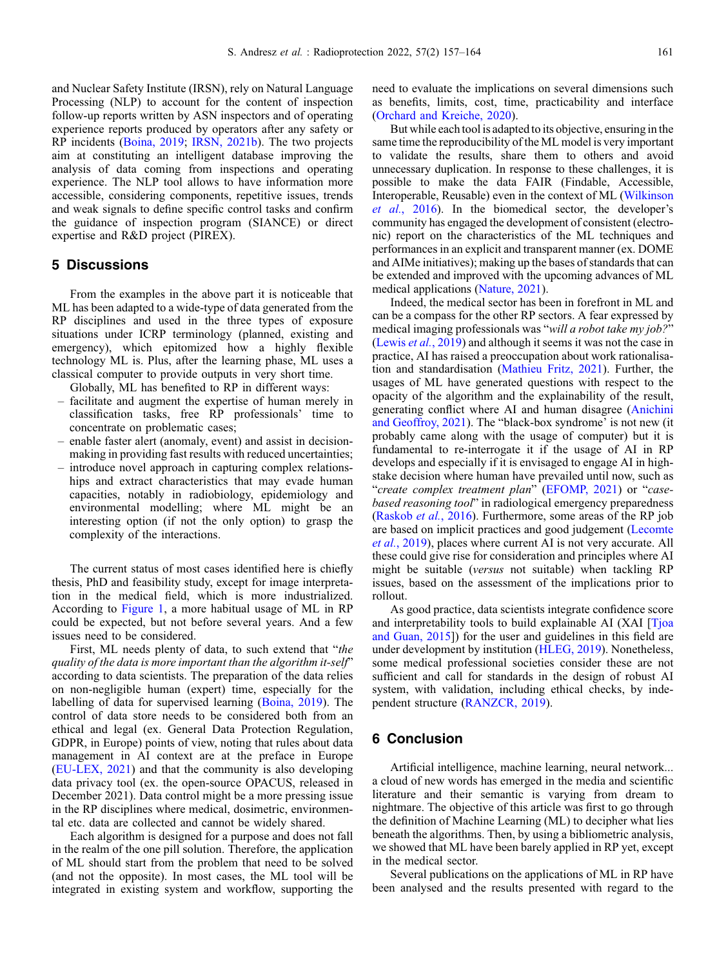<span id="page-4-0"></span>and Nuclear Safety Institute (IRSN), rely on Natural Language Processing (NLP) to account for the content of inspection follow-up reports written by ASN inspectors and of operating experience reports produced by operators after any safety or RP incidents [\(Boina, 2019](#page-5-0); [IRSN, 2021b](#page-6-0)). The two projects aim at constituting an intelligent database improving the analysis of data coming from inspections and operating experience. The NLP tool allows to have information more accessible, considering components, repetitive issues, trends and weak signals to define specific control tasks and confirm the guidance of inspection program (SIANCE) or direct expertise and R&D project (PIREX).

## 5 Discussions

From the examples in the above part it is noticeable that ML has been adapted to a wide-type of data generated from the RP disciplines and used in the three types of exposure situations under ICRP terminology (planned, existing and emergency), which epitomized how a highly flexible technology ML is. Plus, after the learning phase, ML uses a classical computer to provide outputs in very short time.

Globally, ML has benefited to RP in different ways:

- facilitate and augment the expertise of human merely in classification tasks, free RP professionals' time to concentrate on problematic cases;
- enable faster alert (anomaly, event) and assist in decisionmaking in providing fast results with reduced uncertainties;
- introduce novel approach in capturing complex relationships and extract characteristics that may evade human capacities, notably in radiobiology, epidemiology and environmental modelling; where ML might be an interesting option (if not the only option) to grasp the complexity of the interactions.

The current status of most cases identified here is chiefly thesis, PhD and feasibility study, except for image interpretation in the medical field, which is more industrialized. According to [Figure 1,](#page-2-0) a more habitual usage of ML in RP could be expected, but not before several years. And a few issues need to be considered.

First, ML needs plenty of data, to such extend that "the quality of the data is more important than the algorithm it-self" according to data scientists. The preparation of the data relies on non-negligible human (expert) time, especially for the labelling of data for supervised learning ([Boina, 2019\)](#page-5-0). The control of data store needs to be considered both from an ethical and legal (ex. General Data Protection Regulation, GDPR, in Europe) points of view, noting that rules about data management in AI context are at the preface in Europe ([EU-LEX, 2021\)](#page-5-0) and that the community is also developing data privacy tool (ex. the open-source OPACUS, released in December 2021). Data control might be a more pressing issue in the RP disciplines where medical, dosimetric, environmental etc. data are collected and cannot be widely shared.

Each algorithm is designed for a purpose and does not fall in the realm of the one pill solution. Therefore, the application of ML should start from the problem that need to be solved (and not the opposite). In most cases, the ML tool will be integrated in existing system and workflow, supporting the need to evaluate the implications on several dimensions such as benefits, limits, cost, time, practicability and interface ([Orchard and Kreiche, 2020\)](#page-6-0).

But while each tool is adapted to its objective, ensuring in the same time the reproducibility of the ML model is very important to validate the results, share them to others and avoid unnecessary duplication. In response to these challenges, it is possible to make the data FAIR (Findable, Accessible, Interoperable, Reusable) even in the context of ML [\(Wilkinson](#page-7-0) et al.[, 2016\)](#page-7-0). In the biomedical sector, the developer's community has engaged the development of consistent (electronic) report on the characteristics of the ML techniques and performances in an explicit and transparent manner (ex. DOME and AIMe initiatives); making up the bases of standards that can be extended and improved with the upcoming advances of ML medical applications ([Nature, 2021](#page-6-0)).

Indeed, the medical sector has been in forefront in ML and can be a compass for the other RP sectors. A fear expressed by medical imaging professionals was "will a robot take my job?" (Lewis et al.[, 2019](#page-6-0)) and although it seems it was not the case in practice, AI has raised a preoccupation about work rationalisation and standardisation ([Mathieu Fritz, 2021\)](#page-6-0). Further, the usages of ML have generated questions with respect to the opacity of the algorithm and the explainability of the result, generating conflict where AI and human disagree ([Anichini](#page-5-0) [and Geoffroy, 2021\)](#page-5-0). The "black-box syndrome' is not new (it probably came along with the usage of computer) but it is fundamental to re-interrogate it if the usage of AI in RP develops and especially if it is envisaged to engage AI in highstake decision where human have prevailed until now, such as "create complex treatment plan" [\(EFOMP, 2021](#page-5-0)) or "casebased reasoning tool" in radiological emergency preparedness ([Raskob](#page-6-0) et al., 2016). Furthermore, some areas of the RP job are based on implicit practices and good judgement ([Lecomte](#page-6-0) et al.[, 2019](#page-6-0)), places where current AI is not very accurate. All these could give rise for consideration and principles where AI might be suitable (versus not suitable) when tackling RP issues, based on the assessment of the implications prior to rollout.

As good practice, data scientists integrate confidence score and interpretability tools to build explainable AI (XAI [[Tjoa](#page-7-0) [and Guan, 2015](#page-7-0)]) for the user and guidelines in this field are under development by institution [\(HLEG, 2019\)](#page-6-0). Nonetheless, some medical professional societies consider these are not sufficient and call for standards in the design of robust AI system, with validation, including ethical checks, by independent structure ([RANZCR, 2019\)](#page-6-0).

### 6 Conclusion

Artificial intelligence, machine learning, neural network... a cloud of new words has emerged in the media and scientific literature and their semantic is varying from dream to nightmare. The objective of this article was first to go through the definition of Machine Learning (ML) to decipher what lies beneath the algorithms. Then, by using a bibliometric analysis, we showed that ML have been barely applied in RP yet, except in the medical sector.

Several publications on the applications of ML in RP have been analysed and the results presented with regard to the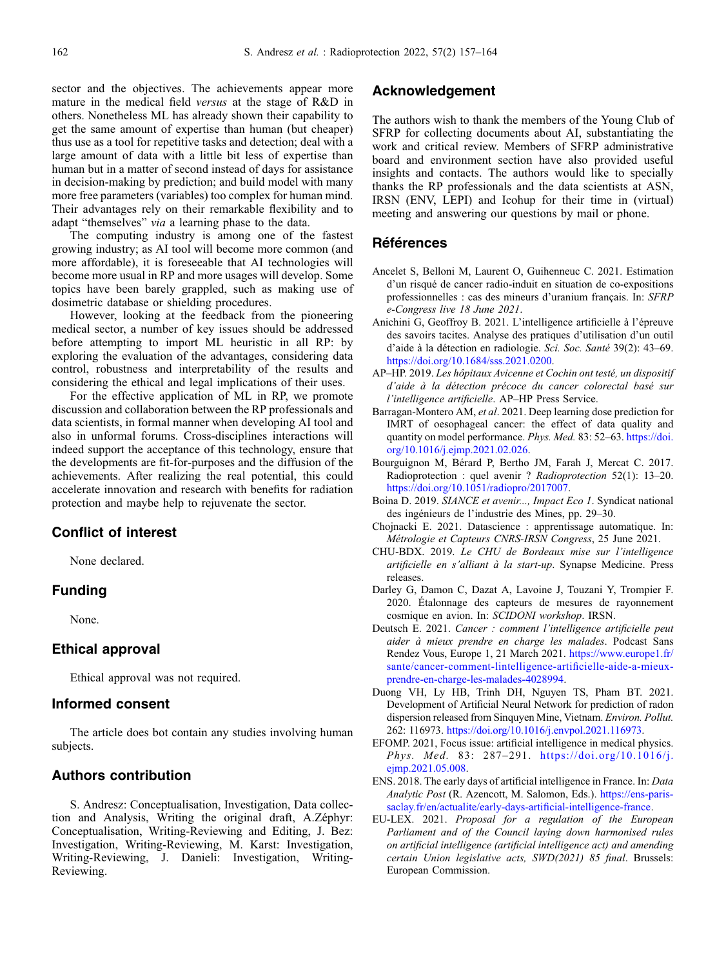<span id="page-5-0"></span>sector and the objectives. The achievements appear more mature in the medical field versus at the stage of R&D in others. Nonetheless ML has already shown their capability to get the same amount of expertise than human (but cheaper) thus use as a tool for repetitive tasks and detection; deal with a large amount of data with a little bit less of expertise than human but in a matter of second instead of days for assistance in decision-making by prediction; and build model with many more free parameters (variables) too complex for human mind. Their advantages rely on their remarkable flexibility and to adapt "themselves" via a learning phase to the data.

The computing industry is among one of the fastest growing industry; as AI tool will become more common (and more affordable), it is foreseeable that AI technologies will become more usual in RP and more usages will develop. Some topics have been barely grappled, such as making use of dosimetric database or shielding procedures.

However, looking at the feedback from the pioneering medical sector, a number of key issues should be addressed before attempting to import ML heuristic in all RP: by exploring the evaluation of the advantages, considering data control, robustness and interpretability of the results and considering the ethical and legal implications of their uses.

For the effective application of ML in RP, we promote discussion and collaboration between the RP professionals and data scientists, in formal manner when developing AI tool and also in unformal forums. Cross-disciplines interactions will indeed support the acceptance of this technology, ensure that the developments are fit-for-purposes and the diffusion of the achievements. After realizing the real potential, this could accelerate innovation and research with benefits for radiation protection and maybe help to rejuvenate the sector.

# Conflict of interest

None declared.

# Funding

None.

#### Ethical approval

Ethical approval was not required.

# Informed consent

The article does bot contain any studies involving human subjects.

# Authors contribution

S. Andresz: Conceptualisation, Investigation, Data collection and Analysis, Writing the original draft, A.Zéphyr: Conceptualisation, Writing-Reviewing and Editing, J. Bez: Investigation, Writing-Reviewing, M. Karst: Investigation, Writing-Reviewing, J. Danieli: Investigation, Writing-Reviewing.

# Acknowledgement

The authors wish to thank the members of the Young Club of SFRP for collecting documents about AI, substantiating the work and critical review. Members of SFRP administrative board and environment section have also provided useful insights and contacts. The authors would like to specially thanks the RP professionals and the data scientists at ASN, IRSN (ENV, LEPI) and Icohup for their time in (virtual) meeting and answering our questions by mail or phone.

# Références

- Ancelet S, Belloni M, Laurent O, Guihenneuc C. 2021. Estimation d'un risqué de cancer radio-induit en situation de co-expositions professionnelles : cas des mineurs d'uranium français. In: SFRP e-Congress live 18 June 2021.
- Anichini G, Geoffroy B. 2021. L'intelligence artificielle à l'épreuve des savoirs tacites. Analyse des pratiques d'utilisation d'un outil d'aide à la détection en radiologie. Sci. Soc. Santé 39(2): 43–69. [https://doi.org/10.1684/sss.2021.0200.](https://doi.org/10.1684/sss.2021.0200)
- AP–HP. 2019. Les hôpitaux Avicenne et Cochin ont testé, un dispositif d'aide à la détection précoce du cancer colorectal basé sur l'intelligence artificielle. AP–HP Press Service.
- Barragan-Montero AM, et al. 2021. Deep learning dose prediction for IMRT of oesophageal cancer: the effect of data quality and quantity on model performance. Phys. Med. 83: 52–63. [https://doi.](https://doi.org/10.1016/j.ejmp.2021.02.026) [org/10.1016/j.ejmp.2021.02.026](https://doi.org/10.1016/j.ejmp.2021.02.026).
- Bourguignon M, Bérard P, Bertho JM, Farah J, Mercat C. 2017. Radioprotection : quel avenir ? Radioprotection 52(1): 13–20. <https://doi.org/10.1051/radiopro/2017007>.
- Boina D. 2019. SIANCE et avenir..., Impact Eco 1. Syndicat national des ingénieurs de l'industrie des Mines, pp. 29–30.
- Chojnacki E. 2021. Datascience : apprentissage automatique. In: Métrologie et Capteurs CNRS-IRSN Congress, 25 June 2021.
- CHU-BDX. 2019. Le CHU de Bordeaux mise sur l'intelligence artificielle en s'alliant à la start-up. Synapse Medicine. Press releases.
- Darley G, Damon C, Dazat A, Lavoine J, Touzani Y, Trompier F. 2020. Étalonnage des capteurs de mesures de rayonnement cosmique en avion. In: SCIDONI workshop. IRSN.
- Deutsch E. 2021. Cancer : comment l'intelligence artificielle peut aider à mieux prendre en charge les malades. Podcast Sans Rendez Vous, Europe 1, 21 March 2021. [https://www.europe1.fr/](https://www.europe1.fr/sante/cancer-comment-lintelligence-artificielle-aide-a-mieux-prendre-en-charge-les-malades-4028994) [sante/cancer-comment-lintelligence-arti](https://www.europe1.fr/sante/cancer-comment-lintelligence-artificielle-aide-a-mieux-prendre-en-charge-les-malades-4028994)ficielle-aide-a-mieux[prendre-en-charge-les-malades-4028994.](https://www.europe1.fr/sante/cancer-comment-lintelligence-artificielle-aide-a-mieux-prendre-en-charge-les-malades-4028994)
- Duong VH, Ly HB, Trinh DH, Nguyen TS, Pham BT. 2021. Development of Artificial Neural Network for prediction of radon dispersion released from Sinquyen Mine, Vietnam. Environ. Pollut. 262: 116973. [https://doi.org/10.1016/j.envpol.2021.116973.](https://doi.org/10.1016/j.envpol.2021.116973)
- EFOMP. 2021, Focus issue: artificial intelligence in medical physics. Phys. Med. 83: 287–291. [https://doi.org/10.1016/j.](https://doi.org/10.1016/j.ejmp.2021.05.008) [ejmp.2021.05.008](https://doi.org/10.1016/j.ejmp.2021.05.008).
- ENS. 2018. The early days of artificial intelligence in France. In: Data Analytic Post (R. Azencott, M. Salomon, Eds.). [https://ens-paris](https://ens-paris-saclay.fr/en/actualite/early-days-artificial-intelligence-france)[saclay.fr/en/actualite/early-days-arti](https://ens-paris-saclay.fr/en/actualite/early-days-artificial-intelligence-france)ficial-intelligence-france.
- EU-LEX. 2021. Proposal for a regulation of the European Parliament and of the Council laying down harmonised rules on artificial intelligence (artificial intelligence act) and amending certain Union legislative acts, SWD(2021) 85 final. Brussels: European Commission.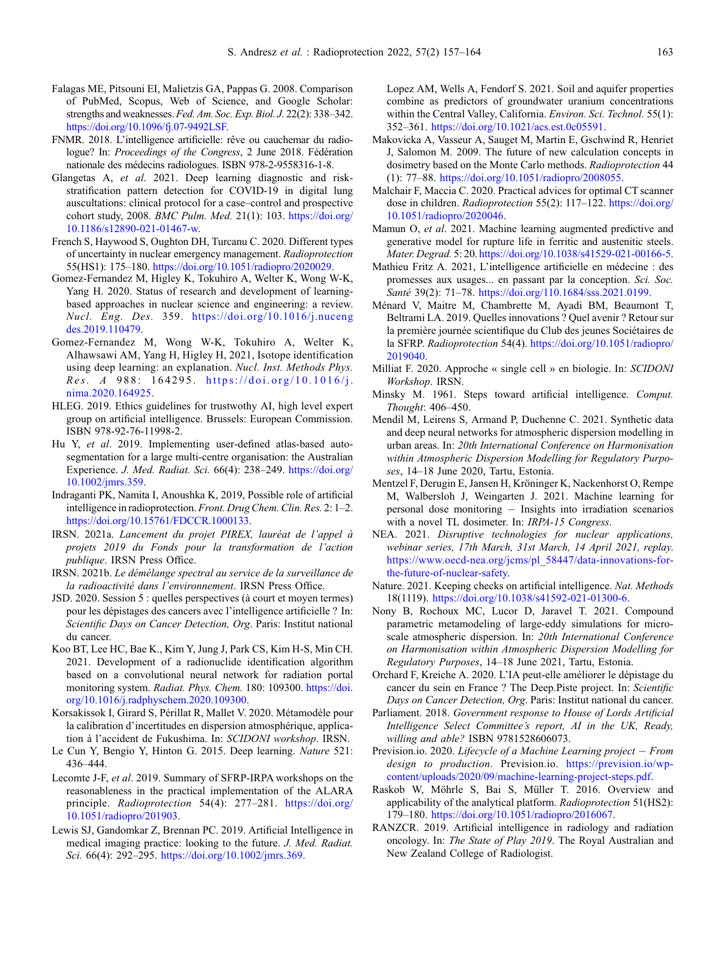- <span id="page-6-0"></span>Falagas ME, Pitsouni EI, Malietzis GA, Pappas G. 2008. Comparison of PubMed, Scopus, Web of Science, and Google Scholar: strengths and weaknesses. Fed. Am. Soc. Exp. Biol. J. 22(2): 338-342. [https://doi.org/10.1096/fj.07-9492LSF.](https://doi.org/10.1096/fj.07-9492LSF)
- FNMR. 2018. L'intelligence artificielle: rêve ou cauchemar du radiologue? In: Proceedings of the Congress, 2 June 2018. Fédération nationale des médecins radiologues. ISBN 978-2-9558316-1-8.
- Glangetas A, et al. 2021. Deep learning diagnostic and riskstratification pattern detection for COVID-19 in digital lung auscultations: clinical protocol for a case–control and prospective cohort study, 2008. BMC Pulm. Med. 21(1): 103. [https://doi.org/](https://doi.org/10.1186/s12890-021-01467-w) [10.1186/s12890-021-01467-w.](https://doi.org/10.1186/s12890-021-01467-w)
- French S, Haywood S, Oughton DH, Turcanu C. 2020. Different types of uncertainty in nuclear emergency management. Radioprotection 55(HS1): 175–180. <https://doi.org/10.1051/radiopro/2020029>.
- Gomez-Fernandez M, Higley K, Tokuhiro A, Welter K, Wong W-K, Yang H. 2020. Status of research and development of learningbased approaches in nuclear science and engineering: a review. Nucl. Eng. Des. 359. [https://doi.org/10.1016/j.nuceng](https://doi.org/10.1016/j.nucengdes.2019.110479) [des.2019.110479](https://doi.org/10.1016/j.nucengdes.2019.110479).
- Gomez-Fernandez M, Wong W-K, Tokuhiro A, Welter K, Alhawsawi AM, Yang H, Higley H, 2021, Isotope identification using deep learning: an explanation. Nucl. Inst. Methods Phys. Res. A 988: 164295. [https://doi.org/10.1016/j.](https://doi.org/10.1016/j.nima.2020.164925) [nima.2020.164925](https://doi.org/10.1016/j.nima.2020.164925).
- HLEG. 2019. Ethics guidelines for trustwothy AI, high level expert group on artificial intelligence. Brussels: European Commission. ISBN 978-92-76-11998-2.
- Hu Y, et al. 2019. Implementing user-defined atlas-based autosegmentation for a large multi-centre organisation: the Australian Experience. J. Med. Radiat. Sci. 66(4): 238–249. [https://doi.org/](https://doi.org/10.1002/jmrs.359) [10.1002/jmrs.359.](https://doi.org/10.1002/jmrs.359)
- Indraganti PK, Namita I, Anoushka K, 2019, Possible role of artificial intelligence in radioprotection.Front. Drug Chem. Clin. Res. 2: 1–2. <https://doi.org/10.15761/FDCCR.1000133>.
- IRSN. 2021a. Lancement du projet PIREX, lauréat de l'appel à projets 2019 du Fonds pour la transformation de l'action publique. IRSN Press Office.
- IRSN. 2021b. Le démélange spectral au service de la surveillance de la radioactivité dans l'environnement. IRSN Press Office.
- JSD. 2020. Session 5 : quelles perspectives (à court et moyen termes) pour les dépistages des cancers avec l'intelligence artificielle ? In: Scientific Days on Cancer Detection, Org. Paris: Institut national du cancer.
- Koo BT, Lee HC, Bae K., Kim Y, Jung J, Park CS, Kim H-S, Min CH. 2021. Development of a radionuclide identification algorithm based on a convolutional neural network for radiation portal monitoring system. Radiat. Phys. Chem. 180: 109300. [https://doi.](https://doi.org/10.1016/j.radphyschem.2020.109300) [org/10.1016/j.radphyschem.2020.109300](https://doi.org/10.1016/j.radphyschem.2020.109300).
- Korsakissok I, Girard S, Périllat R, Mallet V. 2020. Métamodèle pour la calibration d'incertitudes en dispersion atmosphérique, application à l'accident de Fukushima. In: SCIDONI workshop. IRSN.
- Le Cun Y, Bengio Y, Hinton G. 2015. Deep learning. Nature 521: 436–444.
- Lecomte J-F, et al. 2019. Summary of SFRP-IRPA workshops on the reasonableness in the practical implementation of the ALARA principle. Radioprotection 54(4): 277–281. [https://doi.org/](https://doi.org/10.1051/radiopro/201903) [10.1051/radiopro/201903.](https://doi.org/10.1051/radiopro/201903)
- Lewis SJ, Gandomkar Z, Brennan PC. 2019. Artificial Intelligence in medical imaging practice: looking to the future. J. Med. Radiat. Sci. 66(4): 292-295. <https://doi.org/10.1002/jmrs.369>.

Lopez AM, Wells A, Fendorf S. 2021. Soil and aquifer properties combine as predictors of groundwater uranium concentrations within the Central Valley, California. Environ. Sci. Technol. 55(1): 352–361. <https://doi.org/10.1021/acs.est.0c05591>.

- Makovicka A, Vasseur A, Sauget M, Martin E, Gschwind R, Henriet J, Salomon M. 2009. The future of new calculation concepts in dosimetry based on the Monte Carlo methods. Radioprotection 44 (1): 77–88. [https://doi.org/10.1051/radiopro/2008055.](https://doi.org/10.1051/radiopro/2008055)
- Malchair F, Maccia C. 2020. Practical advices for optimal CT scanner dose in children. Radioprotection 55(2): 117-122. [https://doi.org/](https://doi.org/10.1051/radiopro/2020046) [10.1051/radiopro/2020046](https://doi.org/10.1051/radiopro/2020046).
- Mamun O, et al. 2021. Machine learning augmented predictive and generative model for rupture life in ferritic and austenitic steels. Mater. Degrad. 5: 20. <https://doi.org/10.1038/s41529-021-00166-5>.
- Mathieu Fritz A. 2021, L'intelligence artificielle en médecine : des promesses aux usages... en passant par la conception. Sci. Soc. Santé 39(2): 71–78. <https://doi.org/110.1684/sss.2021.0199>.
- Ménard V, Maitre M, Chambrette M, Ayadi BM, Beaumont T, Beltrami LA. 2019. Quelles innovations ? Quel avenir ? Retour sur la première journée scientifique du Club des jeunes Sociétaires de la SFRP. Radioprotection 54(4). [https://doi.org/10.1051/radiopro/](https://doi.org/10.1051/radiopro/2019040) [2019040.](https://doi.org/10.1051/radiopro/2019040)
- Milliat F. 2020. Approche « single cell » en biologie. In: SCIDONI Workshop. IRSN.
- Minsky M. 1961. Steps toward artificial intelligence. Comput. Thought: 406–450.
- Mendil M, Leirens S, Armand P, Duchenne C. 2021. Synthetic data and deep neural networks for atmospheric dispersion modelling in urban areas. In: 20th International Conference on Harmonisation within Atmospheric Dispersion Modelling for Regulatory Purposes, 14–18 June 2020, Tartu, Estonia.
- Mentzel F, Derugin E, Jansen H, Kröninger K, Nackenhorst O, Rempe M, Walbersloh J, Weingarten J. 2021. Machine learning for personal dose monitoring  $-$  Insights into irradiation scenarios with a novel TL dosimeter. In: IRPA-15 Congress.
- NEA. 2021. Disruptive technologies for nuclear applications, webinar series, 17th March, 31st March, 14 April 2021, replay. [https://www.oecd-nea.org/jcms/pl\\_58447/data-innovations-for](https://www.oecd-nea.org/jcms/pl_58447/data-innovations-for-the-future-of-nuclear-safety)[the-future-of-nuclear-safety.](https://www.oecd-nea.org/jcms/pl_58447/data-innovations-for-the-future-of-nuclear-safety)
- Nature. 2021. Keeping checks on artificial intelligence. Nat. Methods 18(1119). [https://doi.org/10.1038/s41592-021-01300-6.](https://doi.org/10.1038/s41592-021-01300-6)
- Nony B, Rochoux MC, Lucor D, Jaravel T. 2021. Compound parametric metamodeling of large-eddy simulations for microscale atmospheric dispersion. In: 20th International Conference on Harmonisation within Atmospheric Dispersion Modelling for Regulatory Purposes, 14–18 June 2021, Tartu, Estonia.
- Orchard F, Kreiche A. 2020. L'IA peut-elle améliorer le dépistage du cancer du sein en France ? The Deep.Piste project. In: Scientific Days on Cancer Detection, Org. Paris: Institut national du cancer.
- Parliament. 2018. Government response to House of Lords Artificial Intelligence Select Committee's report, AI in the UK, Ready, willing and able? ISBN 9781528606073.
- Prevision.io. 2020. Lifecycle of a Machine Learning project  $-$  From design to production. Prevision.io. [https://prevision.io/wp](https://prevision.io/wp-content/uploads/2020/09/machine-learning-project-steps.pdf)[content/uploads/2020/09/machine-learning-project-steps.pdf](https://prevision.io/wp-content/uploads/2020/09/machine-learning-project-steps.pdf).
- Raskob W, Möhrle S, Bai S, Müller T. 2016. Overview and applicability of the analytical platform. Radioprotection 51(HS2): 179–180. [https://doi.org/10.1051/radiopro/2016067.](https://doi.org/10.1051/radiopro/2016067)
- RANZCR. 2019. Artificial intelligence in radiology and radiation oncology. In: The State of Play 2019. The Royal Australian and New Zealand College of Radiologist.